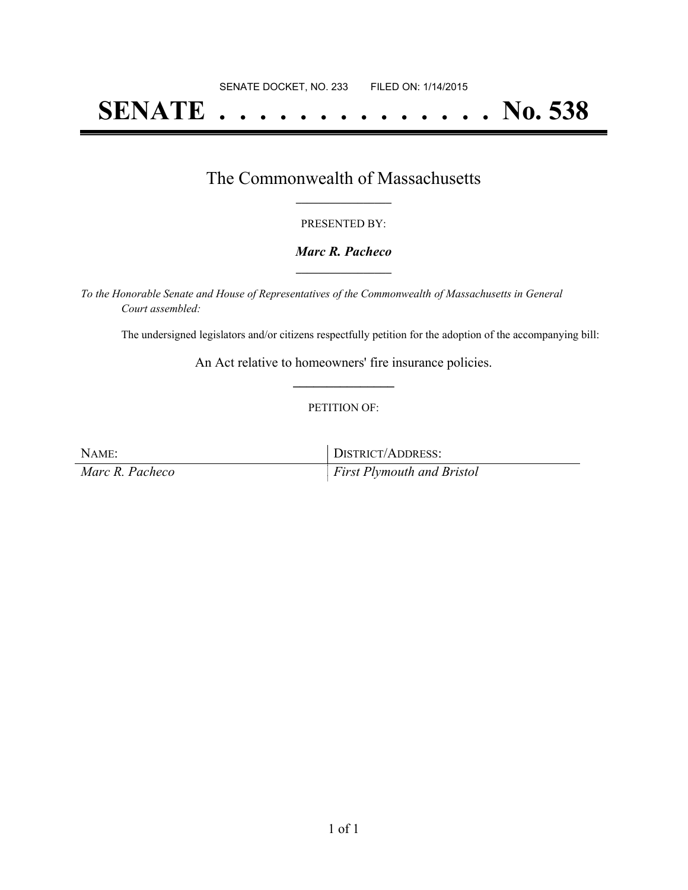# **SENATE . . . . . . . . . . . . . . No. 538**

### The Commonwealth of Massachusetts **\_\_\_\_\_\_\_\_\_\_\_\_\_\_\_\_\_**

#### PRESENTED BY:

#### *Marc R. Pacheco* **\_\_\_\_\_\_\_\_\_\_\_\_\_\_\_\_\_**

*To the Honorable Senate and House of Representatives of the Commonwealth of Massachusetts in General Court assembled:*

The undersigned legislators and/or citizens respectfully petition for the adoption of the accompanying bill:

An Act relative to homeowners' fire insurance policies. **\_\_\_\_\_\_\_\_\_\_\_\_\_\_\_**

#### PETITION OF:

NAME: DISTRICT/ADDRESS: *Marc R. Pacheco First Plymouth and Bristol*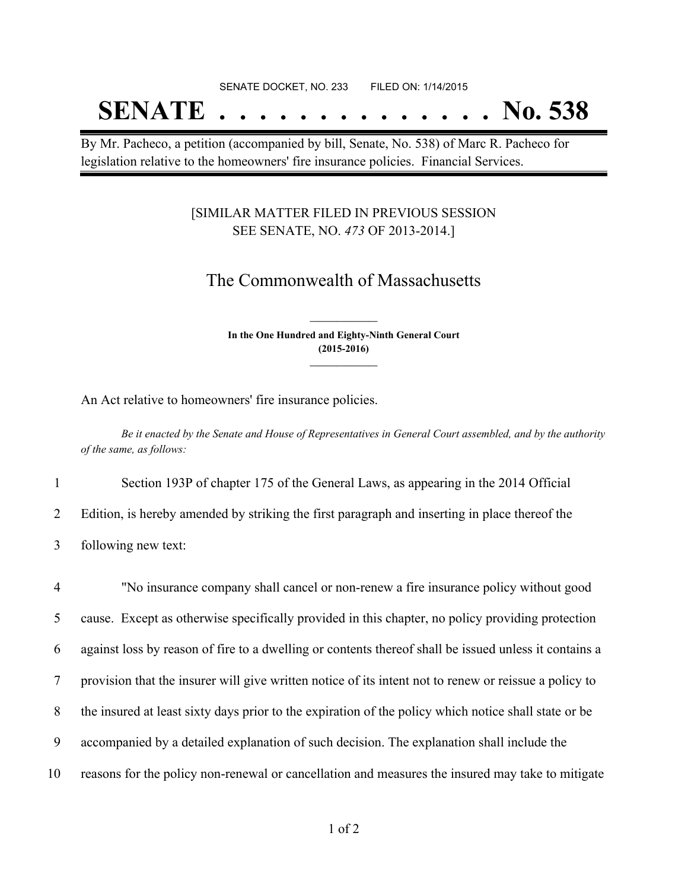# SENATE DOCKET, NO. 233 FILED ON: 1/14/2015 **SENATE . . . . . . . . . . . . . . No. 538**

By Mr. Pacheco, a petition (accompanied by bill, Senate, No. 538) of Marc R. Pacheco for legislation relative to the homeowners' fire insurance policies. Financial Services.

#### [SIMILAR MATTER FILED IN PREVIOUS SESSION SEE SENATE, NO. *473* OF 2013-2014.]

## The Commonwealth of Massachusetts

**In the One Hundred and Eighty-Ninth General Court (2015-2016) \_\_\_\_\_\_\_\_\_\_\_\_\_\_\_**

**\_\_\_\_\_\_\_\_\_\_\_\_\_\_\_**

An Act relative to homeowners' fire insurance policies.

Be it enacted by the Senate and House of Representatives in General Court assembled, and by the authority *of the same, as follows:*

1 Section 193P of chapter 175 of the General Laws, as appearing in the 2014 Official

2 Edition, is hereby amended by striking the first paragraph and inserting in place thereof the

3 following new text:

 "No insurance company shall cancel or non-renew a fire insurance policy without good cause. Except as otherwise specifically provided in this chapter, no policy providing protection against loss by reason of fire to a dwelling or contents thereof shall be issued unless it contains a provision that the insurer will give written notice of its intent not to renew or reissue a policy to the insured at least sixty days prior to the expiration of the policy which notice shall state or be accompanied by a detailed explanation of such decision. The explanation shall include the reasons for the policy non-renewal or cancellation and measures the insured may take to mitigate